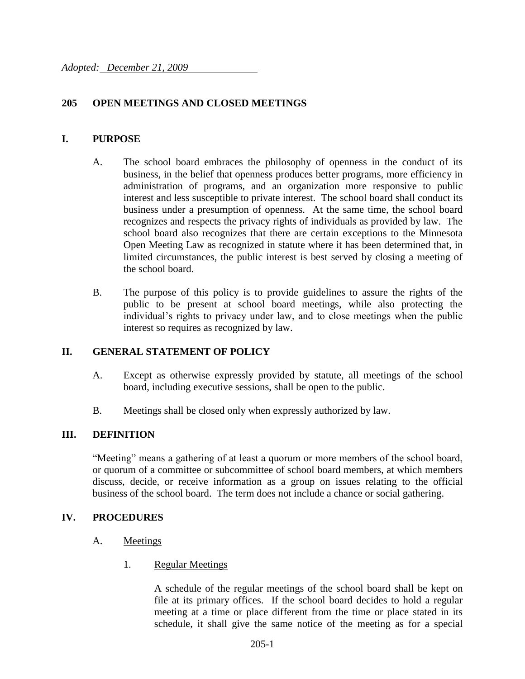# **205 OPEN MEETINGS AND CLOSED MEETINGS**

### **I. PURPOSE**

- A. The school board embraces the philosophy of openness in the conduct of its business, in the belief that openness produces better programs, more efficiency in administration of programs, and an organization more responsive to public interest and less susceptible to private interest. The school board shall conduct its business under a presumption of openness. At the same time, the school board recognizes and respects the privacy rights of individuals as provided by law. The school board also recognizes that there are certain exceptions to the Minnesota Open Meeting Law as recognized in statute where it has been determined that, in limited circumstances, the public interest is best served by closing a meeting of the school board.
- B. The purpose of this policy is to provide guidelines to assure the rights of the public to be present at school board meetings, while also protecting the individual's rights to privacy under law, and to close meetings when the public interest so requires as recognized by law.

# **II. GENERAL STATEMENT OF POLICY**

- A. Except as otherwise expressly provided by statute, all meetings of the school board, including executive sessions, shall be open to the public.
- B. Meetings shall be closed only when expressly authorized by law.

# **III. DEFINITION**

"Meeting" means a gathering of at least a quorum or more members of the school board, or quorum of a committee or subcommittee of school board members, at which members discuss, decide, or receive information as a group on issues relating to the official business of the school board. The term does not include a chance or social gathering.

#### **IV. PROCEDURES**

- A. Meetings
	- 1. Regular Meetings

A schedule of the regular meetings of the school board shall be kept on file at its primary offices. If the school board decides to hold a regular meeting at a time or place different from the time or place stated in its schedule, it shall give the same notice of the meeting as for a special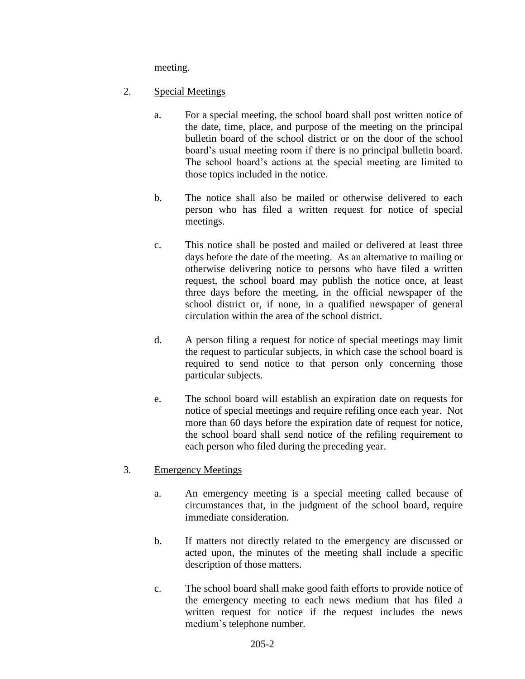meeting.

- 2. Special Meetings
	- a. For a special meeting, the school board shall post written notice of the date, time, place, and purpose of the meeting on the principal bulletin board of the school district or on the door of the school board's usual meeting room if there is no principal bulletin board. The school board's actions at the special meeting are limited to those topics included in the notice.
	- b. The notice shall also be mailed or otherwise delivered to each person who has filed a written request for notice of special meetings.
	- c. This notice shall be posted and mailed or delivered at least three days before the date of the meeting. As an alternative to mailing or otherwise delivering notice to persons who have filed a written request, the school board may publish the notice once, at least three days before the meeting, in the official newspaper of the school district or, if none, in a qualified newspaper of general circulation within the area of the school district.
	- d. A person filing a request for notice of special meetings may limit the request to particular subjects, in which case the school board is required to send notice to that person only concerning those particular subjects.
	- e. The school board will establish an expiration date on requests for notice of special meetings and require refiling once each year. Not more than 60 days before the expiration date of request for notice, the school board shall send notice of the refiling requirement to each person who filed during the preceding year.
- 3. Emergency Meetings
	- a. An emergency meeting is a special meeting called because of circumstances that, in the judgment of the school board, require immediate consideration.
	- b. If matters not directly related to the emergency are discussed or acted upon, the minutes of the meeting shall include a specific description of those matters.
	- c. The school board shall make good faith efforts to provide notice of the emergency meeting to each news medium that has filed a written request for notice if the request includes the news medium's telephone number.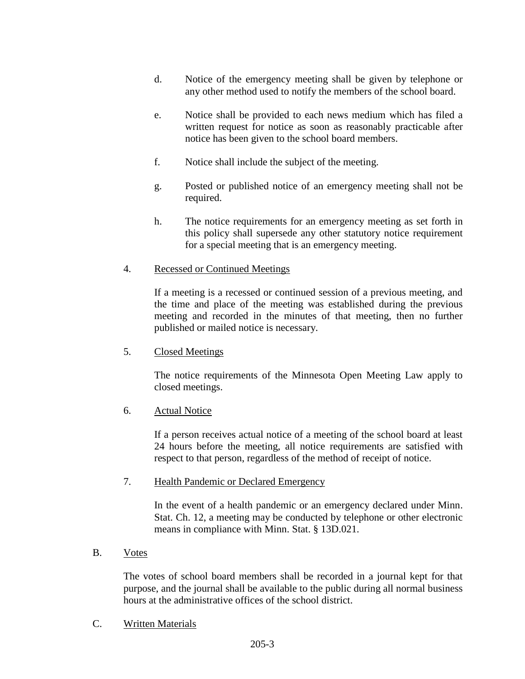- d. Notice of the emergency meeting shall be given by telephone or any other method used to notify the members of the school board.
- e. Notice shall be provided to each news medium which has filed a written request for notice as soon as reasonably practicable after notice has been given to the school board members.
- f. Notice shall include the subject of the meeting.
- g. Posted or published notice of an emergency meeting shall not be required.
- h. The notice requirements for an emergency meeting as set forth in this policy shall supersede any other statutory notice requirement for a special meeting that is an emergency meeting.

#### 4. Recessed or Continued Meetings

If a meeting is a recessed or continued session of a previous meeting, and the time and place of the meeting was established during the previous meeting and recorded in the minutes of that meeting, then no further published or mailed notice is necessary.

#### 5. Closed Meetings

The notice requirements of the Minnesota Open Meeting Law apply to closed meetings.

#### 6. Actual Notice

If a person receives actual notice of a meeting of the school board at least 24 hours before the meeting, all notice requirements are satisfied with respect to that person, regardless of the method of receipt of notice.

#### 7. Health Pandemic or Declared Emergency

In the event of a health pandemic or an emergency declared under Minn. Stat. Ch. 12, a meeting may be conducted by telephone or other electronic means in compliance with Minn. Stat. § 13D.021.

#### B. Votes

The votes of school board members shall be recorded in a journal kept for that purpose, and the journal shall be available to the public during all normal business hours at the administrative offices of the school district.

C. Written Materials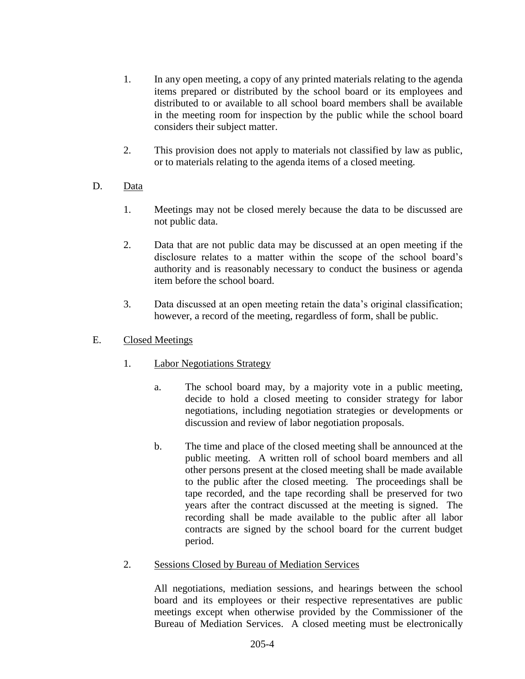- 1. In any open meeting, a copy of any printed materials relating to the agenda items prepared or distributed by the school board or its employees and distributed to or available to all school board members shall be available in the meeting room for inspection by the public while the school board considers their subject matter.
- 2. This provision does not apply to materials not classified by law as public, or to materials relating to the agenda items of a closed meeting.

# D. Data

- 1. Meetings may not be closed merely because the data to be discussed are not public data.
- 2. Data that are not public data may be discussed at an open meeting if the disclosure relates to a matter within the scope of the school board's authority and is reasonably necessary to conduct the business or agenda item before the school board.
- 3. Data discussed at an open meeting retain the data's original classification; however, a record of the meeting, regardless of form, shall be public.

# E. Closed Meetings

- 1. Labor Negotiations Strategy
	- a. The school board may, by a majority vote in a public meeting, decide to hold a closed meeting to consider strategy for labor negotiations, including negotiation strategies or developments or discussion and review of labor negotiation proposals.
	- b. The time and place of the closed meeting shall be announced at the public meeting. A written roll of school board members and all other persons present at the closed meeting shall be made available to the public after the closed meeting. The proceedings shall be tape recorded, and the tape recording shall be preserved for two years after the contract discussed at the meeting is signed. The recording shall be made available to the public after all labor contracts are signed by the school board for the current budget period.
- 2. Sessions Closed by Bureau of Mediation Services

All negotiations, mediation sessions, and hearings between the school board and its employees or their respective representatives are public meetings except when otherwise provided by the Commissioner of the Bureau of Mediation Services. A closed meeting must be electronically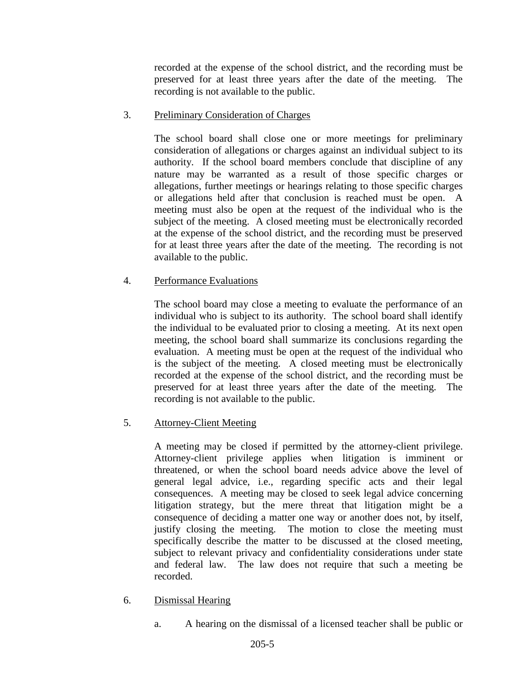recorded at the expense of the school district, and the recording must be preserved for at least three years after the date of the meeting. The recording is not available to the public.

### 3. Preliminary Consideration of Charges

The school board shall close one or more meetings for preliminary consideration of allegations or charges against an individual subject to its authority. If the school board members conclude that discipline of any nature may be warranted as a result of those specific charges or allegations, further meetings or hearings relating to those specific charges or allegations held after that conclusion is reached must be open. A meeting must also be open at the request of the individual who is the subject of the meeting. A closed meeting must be electronically recorded at the expense of the school district, and the recording must be preserved for at least three years after the date of the meeting. The recording is not available to the public.

# 4. Performance Evaluations

The school board may close a meeting to evaluate the performance of an individual who is subject to its authority. The school board shall identify the individual to be evaluated prior to closing a meeting. At its next open meeting, the school board shall summarize its conclusions regarding the evaluation. A meeting must be open at the request of the individual who is the subject of the meeting. A closed meeting must be electronically recorded at the expense of the school district, and the recording must be preserved for at least three years after the date of the meeting. The recording is not available to the public.

# 5. Attorney-Client Meeting

A meeting may be closed if permitted by the attorney-client privilege. Attorney-client privilege applies when litigation is imminent or threatened, or when the school board needs advice above the level of general legal advice, i.e., regarding specific acts and their legal consequences. A meeting may be closed to seek legal advice concerning litigation strategy, but the mere threat that litigation might be a consequence of deciding a matter one way or another does not, by itself, justify closing the meeting. The motion to close the meeting must specifically describe the matter to be discussed at the closed meeting, subject to relevant privacy and confidentiality considerations under state and federal law. The law does not require that such a meeting be recorded.

- 6. Dismissal Hearing
	- a. A hearing on the dismissal of a licensed teacher shall be public or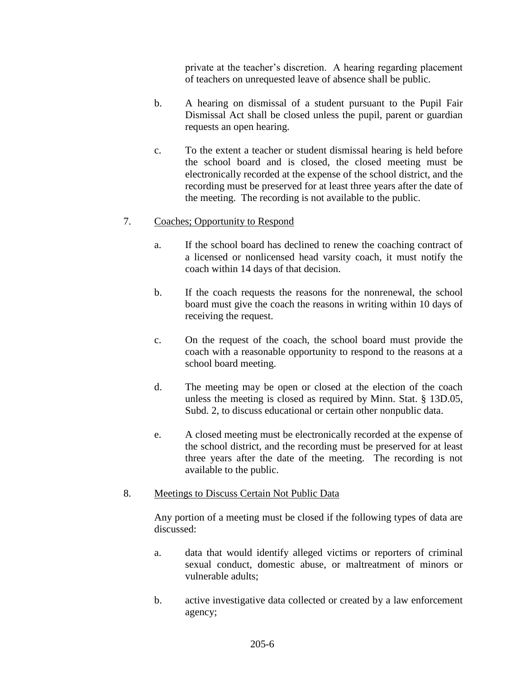private at the teacher's discretion. A hearing regarding placement of teachers on unrequested leave of absence shall be public.

- b. A hearing on dismissal of a student pursuant to the Pupil Fair Dismissal Act shall be closed unless the pupil, parent or guardian requests an open hearing.
- c. To the extent a teacher or student dismissal hearing is held before the school board and is closed, the closed meeting must be electronically recorded at the expense of the school district, and the recording must be preserved for at least three years after the date of the meeting. The recording is not available to the public.

# 7. Coaches; Opportunity to Respond

- a. If the school board has declined to renew the coaching contract of a licensed or nonlicensed head varsity coach, it must notify the coach within 14 days of that decision.
- b. If the coach requests the reasons for the nonrenewal, the school board must give the coach the reasons in writing within 10 days of receiving the request.
- c. On the request of the coach, the school board must provide the coach with a reasonable opportunity to respond to the reasons at a school board meeting.
- d. The meeting may be open or closed at the election of the coach unless the meeting is closed as required by Minn. Stat. § 13D.05, Subd. 2, to discuss educational or certain other nonpublic data.
- e. A closed meeting must be electronically recorded at the expense of the school district, and the recording must be preserved for at least three years after the date of the meeting. The recording is not available to the public.

#### 8. Meetings to Discuss Certain Not Public Data

Any portion of a meeting must be closed if the following types of data are discussed:

- a. data that would identify alleged victims or reporters of criminal sexual conduct, domestic abuse, or maltreatment of minors or vulnerable adults;
- b. active investigative data collected or created by a law enforcement agency;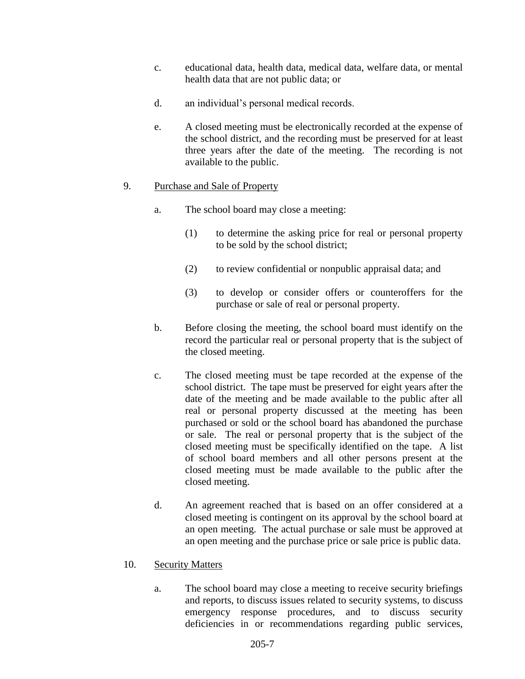- c. educational data, health data, medical data, welfare data, or mental health data that are not public data; or
- d. an individual's personal medical records.
- e. A closed meeting must be electronically recorded at the expense of the school district, and the recording must be preserved for at least three years after the date of the meeting. The recording is not available to the public.

#### 9. Purchase and Sale of Property

- a. The school board may close a meeting:
	- (1) to determine the asking price for real or personal property to be sold by the school district;
	- (2) to review confidential or nonpublic appraisal data; and
	- (3) to develop or consider offers or counteroffers for the purchase or sale of real or personal property.
- b. Before closing the meeting, the school board must identify on the record the particular real or personal property that is the subject of the closed meeting.
- c. The closed meeting must be tape recorded at the expense of the school district. The tape must be preserved for eight years after the date of the meeting and be made available to the public after all real or personal property discussed at the meeting has been purchased or sold or the school board has abandoned the purchase or sale. The real or personal property that is the subject of the closed meeting must be specifically identified on the tape. A list of school board members and all other persons present at the closed meeting must be made available to the public after the closed meeting.
- d. An agreement reached that is based on an offer considered at a closed meeting is contingent on its approval by the school board at an open meeting. The actual purchase or sale must be approved at an open meeting and the purchase price or sale price is public data.

#### 10. Security Matters

a. The school board may close a meeting to receive security briefings and reports, to discuss issues related to security systems, to discuss emergency response procedures, and to discuss security deficiencies in or recommendations regarding public services,